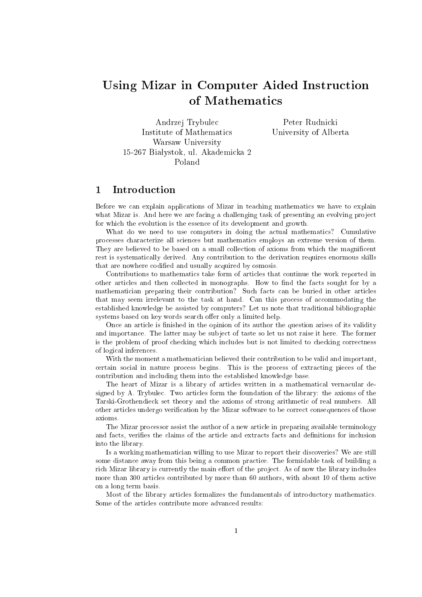# Using Mizar in Computer Aided Instruction of Mathematics

Andrzej Trybulec Institute of Mathematics Warsaw University 15-267 Białystok, ul. Akademicka 2 Poland

Peter Rudnicki University of Alberta

# 1 Introduction

Before we can explain applications of Mizar in teaching mathematics we have to explain what Mizar is. And here we are facing a challenging task of presenting an evolving project for which the evolution is the essence of its development and growth.

What do we need to use computers in doing the actual mathematics? Cumulative processes characterize all sciences but mathematics employs an extreme version of them. They are believed to be based on a small collection of axioms from which the magnicent rest is systematically derived. Any contribution to the derivation requires enormous skills that are nowhere codified and usually acquired by osmosis.

Contributions to mathematics take form of articles that continue the work reported in other articles and then collected in monographs. How to find the facts sought for by a mathematician preparing their contribution? Such facts can be buried in other articles that may seem irrelevant to the task at hand. Can this process of accommodating the established knowledge be assisted by computers? Let us note that traditional bibliographic systems based on key words search offer only a limited help.

Once an article is finished in the opinion of its author the question arises of its validity and importance. The latter may be subject of taste so let us not raise it here. The former is the problem of proof checking which includes but is not limited to checking correctness of logical inferences.

With the moment a mathematician believed their contribution to be valid and important, certain social in nature process begins. This is the process of extracting pieces of the contribution and including them into the established knowledge base.

The heart of Mizar is a library of articles written in a mathematical vernacular designed by A. Trybulec. Two articles form the foundation of the library: the axioms of the Tarski-Grothendieck set theory and the axioms of strong arithmetic of real numbers. All other articles undergo verication by the Mizar software to be correct consequences of those axioms.

The Mizar processor assist the author of a new article in preparing available terminology and facts, verifies the claims of the article and extracts facts and definitions for inclusion into the library.

Is a working mathematician willing to use Mizar to report their discoveries? We are still some distance away from this being a common practice. The formidable task of building a rich Mizar library is currently the main effort of the project. As of now the library includes more than 300 articles contributed by more than 60 authors, with about 10 of them active on a long term basis.

Most of the library articles formalizes the fundamentals of introductory mathematics. Some of the articles contribute more advanced results: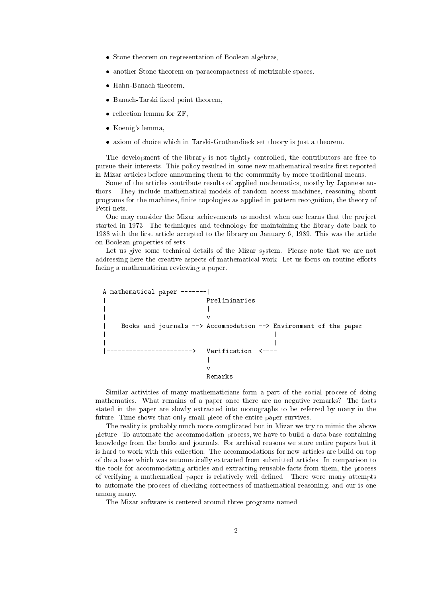- Stone theorem on representation of Boolean algebras,
- another Stone theorem on paracompactness of metrizable spaces,
- Hahn-Banach theorem,
- Banach-Tarski fixed point theorem,
- reflection lemma for ZF,
- Koenig's lemma,
- axiom of choice which in Tarski-Grothendieck set theory is just a theorem.

The development of the library is not tightly controlled, the contributors are free to pursue their interests. This policy resulted in some new mathematical results first reported in Mizar articles before announcing them to the community by more traditional means.

Some of the articles contribute results of applied mathematics, mostly by Japanese authors. They include mathematical models of random access machines, reasoning about programs for the machines, finite topologies as applied in pattern recognition, the theory of Petri nets.

One may consider the Mizar achievements as modest when one learns that the project started in 1973. The techniques and technology for maintaining the library date back to 1988 with the first article accepted to the library on January 6, 1989. This was the article on Boolean properties of sets.

Let us give some technical details of the Mizar system. Please note that we are not addressing here the creative aspects of mathematical work. Let us focus on routine efforts facing a mathematician reviewing a paper.



Similar activities of many mathematicians form a part of the social process of doing mathematics. What remains of a paper once there are no negative remarks? The facts stated in the paper are slowly extracted into monographs to be referred by many in the future. Time shows that only small piece of the entire paper survives.

The reality is probably much more complicated but in Mizar we try to mimic the above picture. To automate the accommodation process, we have to build a data base containing knowledge from the books and journals. For archival reasons we store entire papers but it is hard to work with this collection. The accommodations for new articles are build on top of data base which was automatically extracted from submitted articles. In comparison to the tools for accommodating articles and extracting reusable facts from them, the process of verifying a mathematical paper is relatively well dened. There were many attempts to automate the process of checking correctness of mathematical reasoning, and our is one among many.

The Mizar software is centered around three programs named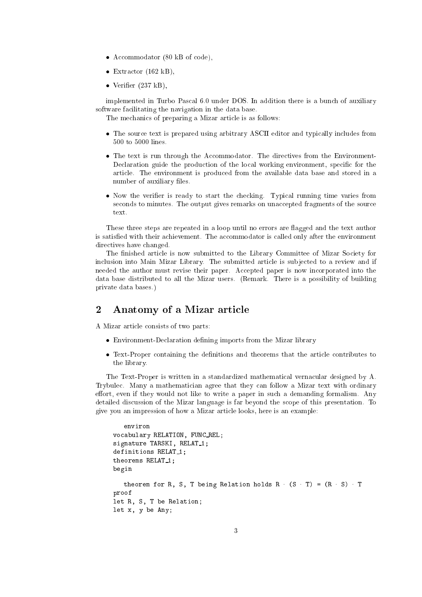- Accommodator (80 kB of code),
- Extractor  $(162 \text{ kB})$ ,
- Verifier  $(237 \text{ kB})$ ,

implemented in Turbo Pascal 6.0 under DOS. In addition there is a bunch of auxiliary software facilitating the navigation in the data base.

The mechanics of preparing a Mizar article is as follows:

- The source text is prepared using arbitrary ASCII editor and typically includes from  $500$  to  $5000$  lines.
- The text is run through the Accommodator. The directives from the Environment-Declaration guide the production of the local working environment, specific for the article. The environment is produced from the available data base and stored in a number of auxiliary files.
- Now the verifier is ready to start the checking. Typical running time varies from seconds to minutes. The output gives remarks on unaccepted fragments of the source text.

These three steps are repeated in a loop until no errors are flagged and the text author is satisfied with their achievement. The accommodator is called only after the environment directives have changed.

The finished article is now submitted to the Library Committee of Mizar Society for inclusion into Main Mizar Library. The submitted article is sub jected to a review and if needed the author must revise their paper. Accepted paper is now incorporated into the data base distributed to all the Mizar users. (Remark. There is a possibility of building private data bases.)

# 2 Anatomy of <sup>a</sup> Mizar article

A Mizar article consists of two parts:

- Environment-Declaration defining imports from the Mizar library
- Text-Proper containing the definitions and theorems that the article contributes to the library.

The Text-Proper is written in a standardized mathematical vernacular designed by A. Trybulec. Many a mathematician agree that they can follow a Mizar text with ordinary effort, even if they would not like to write a paper in such a demanding formalism. Any detailed discussion of the Mizar language is far beyond the scope of this presentation. To give you an impression of how a Mizar article looks, here is an example:

```
environ
vocabulary RELATION, FUNC REL;
signature TARSKI, RELAT<sub>1;</sub>
definitions RELAT<sub>1;</sub>
theorems RELAT<sub>1;</sub>
begin
   theorem for R, S, T being Relation holds R (S T) = (R S) T
proof
let R, S, T be Relation;
let x, y be Any;
```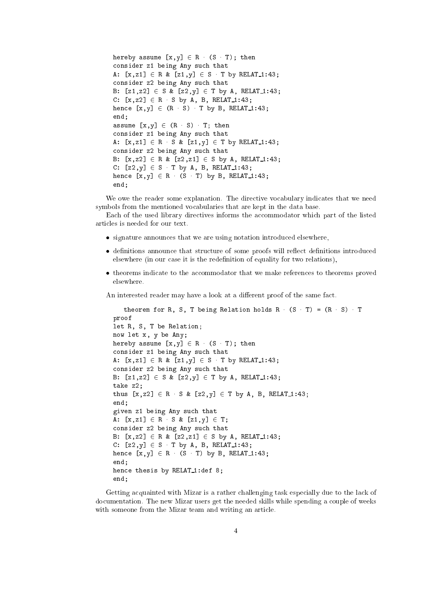```
hereby assume [x,y] \in R (S T); then
consider z1 being Any such that
A: [x, z1] \in R \& [z1, y] \in S T by RELAT 1:43;
consider z2 being Any such that
B: [z1, z2] \in S \& [z2, y] \in T by A, RELAT<sub>1:43;</sub>
C: [x, z2] \in R S by A, B, RELAT<sub>1:43;</sub>
hence [x, y] \in (R \ S) T by B, RELAT 1:43;
end;
assume [x, y] \in (R \ S) T; then
consider z1 being Any such that
A: [x, z1] \in R S & [z1, y] \in T by RELAT 1:43;
consider z2 being Any such that
B: [x, z2] \in R \& [z2, z1] \in S by A, RELAT<sub>1</sub>:43;
C: [z2, y] \in S T by A, B, RELAT<sub>1:43;</sub>
hence [x, y] \in R (S T) by B, RELAT<sub>1:43;</sub>
end;
```
We owe the reader some explanation. The directive vocabulary indicates that we need symbols from the mentioned vocabularies that are kept in the data base.

Each of the used library directives informs the accommodator which part of the listed articles is needed for our text.

- signature announces that we are using notation introduced elsewhere,
- definitions announce that structure of some proofs will reflect definitions introduced elsewhere (in our case it is the redefinition of equality for two relations),
- theorems indicate to the accommodator that we make references to theorems proved elsewhere

An interested reader may have a look at a different proof of the same fact.

```
theorem for R, S, T being Relation holds R (S - T) = (R - S) T
proof
let R, S, T be Relation;
now let x, y be Any;
hereby assume [x,y] \in R (S T); then
consider z1 being Any such that
A: [x, z1] \in R \& [z1, y] \in S T by RELAT<sub>1:43;</sub>
consider z2 being Any such that
B: [z1, z2] \in S \& [z2, y] \in T by A, RELAT<sub>1:43;</sub>
take z2;
thus [x, z2] \in R S & [z2, y] \in T by A, B, RELAT 1:43;
end;
given z1 being Any such that
A: [x, z1] \in R S \& [z1, y] \in T;
consider z2 being Any such that
B: [x, z2] \in R \& [z2, z1] \in S by A, RELAT<sub>1</sub>:43;
C: [z2, y] \in S T by A, B, RELAT<sub>1:43;</sub>
hence [x, y] \in R (S T) by B, RELAT<sub>1:43;</sub>
end:
end;
hence thesis by RELAT<sub>1:def</sub> 8;
end;
```
Getting acquainted with Mizar is a rather challenging task especially due to the lack of documentation. The new Mizar users get the needed skills while spending a couple of weeks with someone from the Mizar team and writing an article.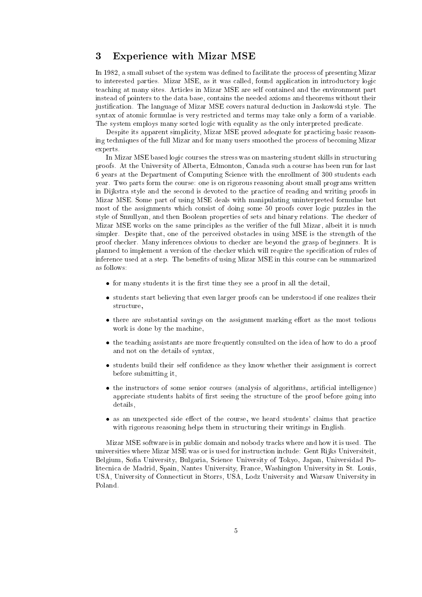# 3 Experience with Mizar MSE

In 1982, a small subset of the system was defined to facilitate the process of presenting Mizar to interested parties. Mizar MSE, as it was called, found application in introductory logic teaching at many sites. Articles in Mizar MSE are self contained and the environment part instead of pointers to the data base, contains the needed axioms and theorems without their justication. The language of Mizar MSE covers natural deduction in Jaskowski style. The syntax of atomic formulae is very restricted and terms may take only a form of a variable. The system employs many sorted logic with equality as the only interpreted predicate.

Despite its apparent simplicity, Mizar MSE proved adequate for practicing basic reasoning techniques of the full Mizar and for many users smoothed the process of becoming Mizar experts.

In Mizar MSE based logic courses the stress was on mastering student skills in structuring proofs. At the University of Alberta, Edmonton, Canada such a course has been run for last 6 years at the Department of Computing Science with the enrollment of 300 students each year. Two parts form the course: one is on rigorous reasoning about small programs written in Dijkstra style and the second is devoted to the practice of reading and writing proofs in Mizar MSE. Some part of using MSE deals with manipulating uninterpreted formulae but most of the assignments which consist of doing some 50 proofs cover logic puzzles in the style of Smullyan, and then Boolean properties of sets and binary relations. The checker of Mizar MSE works on the same principles as the verifier of the full Mizar, albeit it is much simpler. Despite that, one of the perceived obstacles in using MSE is the strength of the proof checker. Many inferences obvious to checker are beyond the grasp of beginners. It is planned to implement a version of the checker which will require the specication of rules of inference used at a step. The benefits of using Mizar MSE in this course can be summarized as follows:

- $\bullet$  for many students it is the first time they see a proof in all the detail,
- students start believing that even larger proofs can be understood if one realizes their structure,
- there are substantial savings on the assignment marking effort as the most tedious work is done by the machine,
- the teaching assistants are more frequently consulted on the idea of how to do a proof and not on the details of syntax,
- students build their self confidence as they know whether their assignment is correct before submitting it,
- the instructors of some senior courses (analysis of algorithms, articial intelligence) appreciate students habits of first seeing the structure of the proof before going into details,
- as an unexpected side effect of the course, we heard students' claims that practice with rigorous reasoning helps them in structuring their writings in English.

Mizar MSE software is in public domain and nobody tracks where and how it is used. The universities where Mizar MSE was or is used for instruction include: Gent Rijks Universiteit, Belgium, Sofia University, Bulgaria, Science University of Tokyo, Japan, Universidad Politecnica de Madrid, Spain, Nantes University, France, Washington University in St. Louis, USA, University of Connecticut in Storrs, USA, Lodz University and Warsaw University in Poland.